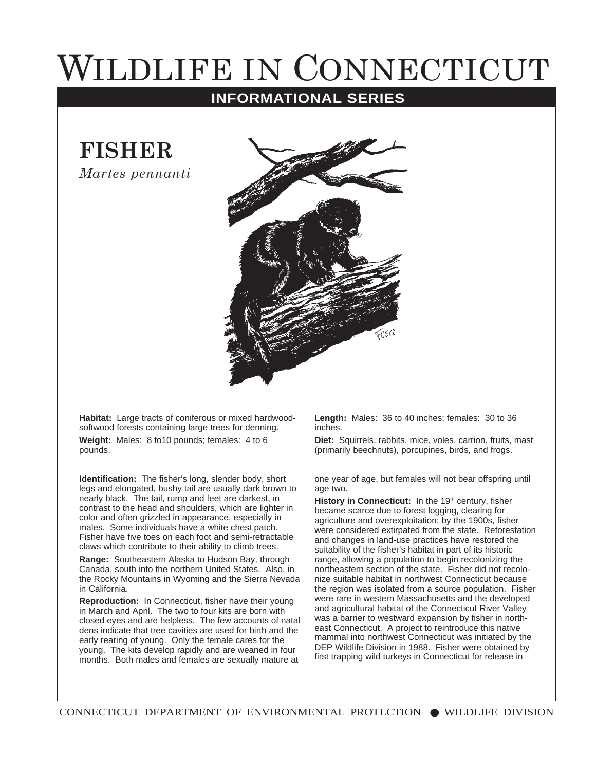## WILDLIFE IN CONNECTICUT

## **INFORMATIONAL SERIES**

**FISHER** 

*Martes pennanti* 



**Habitat:** Large tracts of coniferous or mixed hardwoodsoftwood forests containing large trees for denning. **Weight:** Males: 8 to10 pounds; females: 4 to 6 pounds.

**Identification:** The fisher's long, slender body, short legs and elongated, bushy tail are usually dark brown to nearly black. The tail, rump and feet are darkest, in contrast to the head and shoulders, which are lighter in color and often grizzled in appearance, especially in males. Some individuals have a white chest patch. Fisher have five toes on each foot and semi-retractable claws which contribute to their ability to climb trees.

**Range:** Southeastern Alaska to Hudson Bay, through Canada, south into the northern United States. Also, in the Rocky Mountains in Wyoming and the Sierra Nevada in California.

**Reproduction:** In Connecticut, fisher have their young in March and April. The two to four kits are born with closed eyes and are helpless. The few accounts of natal dens indicate that tree cavities are used for birth and the early rearing of young. Only the female cares for the young. The kits develop rapidly and are weaned in four months. Both males and females are sexually mature at

**Length:** Males: 36 to 40 inches; females: 30 to 36 inches.

**Diet:** Squirrels, rabbits, mice, voles, carrion, fruits, mast (primarily beechnuts), porcupines, birds, and frogs.

one year of age, but females will not bear offspring until age two.

**History in Connecticut:** In the 19<sup>th</sup> century, fisher became scarce due to forest logging, clearing for agriculture and overexploitation; by the 1900s, fisher were considered extirpated from the state. Reforestation and changes in land-use practices have restored the suitability of the fisher's habitat in part of its historic range, allowing a population to begin recolonizing the northeastern section of the state. Fisher did not recolonize suitable habitat in northwest Connecticut because the region was isolated from a source population. Fisher were rare in western Massachusetts and the developed and agricultural habitat of the Connecticut River Valley was a barrier to westward expansion by fisher in northeast Connecticut. A project to reintroduce this native mammal into northwest Connecticut was initiated by the DEP Wildlife Division in 1988. Fisher were obtained by first trapping wild turkeys in Connecticut for release in